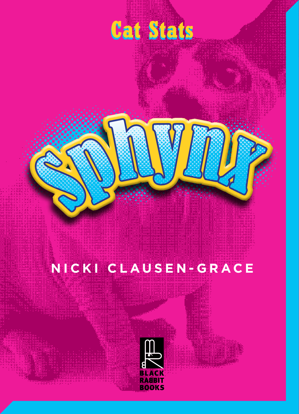# **Cat Stats**

#### NICKI CLAUSEN-GRACE

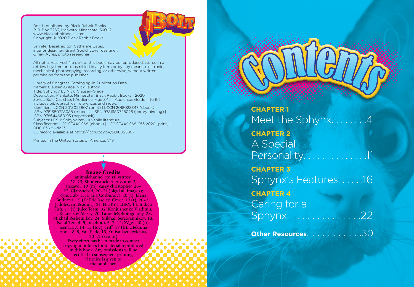Bolt is published by Black Rabbit Books P.O. Box 3263, Mankato, Minnesota, 56002. www.blackrabbitbooks.com Copyright © 2020 Black Rabbit Books

Jennifer Besel, editor; Catherine Cates, interior designer; Grant Gould, cover designer; Omay Ayres, photo researcher

All rights reserved. No part of this book may be reproduced, stored in a retrieval system or transmitted in any form or by any means, electronic, mechanical, photocopying, recording, or otherwise, without written permission from the publisher.

Library of Congress Cataloging-in-Publication Data Names: Clausen-Grace, Nicki, author. Title: Sphynx / by Nicki Clausen-Grace. Description: Mankato, Minnesota : Black Rabbit Books, [2020] | Series: Bolt. Cat stats | Audience: Age 8-12. | Audience: Grade 4 to 6. | Includes bibliographical references and index. Identifiers: LCCN 2018025807 (print) | LCCN 2018028347 (ebook) | ISBN 9781680728088 (e-book) | ISBN 9781680728026 (library binding) | ISBN 978644660195 (paperback) Subjects: LCSH: Sphynx cat—Juvenile literature. Classification: LCC SF449.S68 (ebook) | LCC SF449.S68 C53 2020 (print) | DDC 636.8—dc23 LC record available at https://lccn.loc.gov/2018025807

Printed in the United States of America. 1/19

#### Image Credits

animalchannel.co: sallystrose, 22–23; Shutterstock: Alex Zotov, 3; alexavol, 19 (m); casey christopher, 26– 27; CJansuebsri, 20–21 (bkgd all images); cynoclub, 15; Daria Gorbunova, 10 (t); Elena Butinova, 19 (l); Eric Isselee, Cover, 19 (r), 20–21 (adolescent & adult), 31; FLUKY FLUKY, 14; Indigo Fish, 17 (t); Juice Team, 32; Konjushenko Vladimir, 1; Kuznetsov Alexey, 20; LaruelleSphotography, 28; Mikhail Reshetnikov, 24; Mikhail Serebrennikov, 18; NataliTerr, 4–5; otsphoto, 6–7, 12; SV\_zt, 10 (b); teena137, 14–15 (toy); Triff, 17 (b); Utekhina Anna, 8–9; Vall Rade, 13; YuliyaRazukevichus, 20–21 (senior)

Every effort has been made to contact copyright holders for material reproduced in this book. Any omissions will be rectified in subsequent printings if notice is given to the publisher.



**CHAPTER 1** Meet the Sphynx. . . . . . . . 4 **CHAPTER 2** A Special Personality. . . . . . . . . **CHAPTER 3** Sphynx's Features. . . . . .16 **CHAPTER 4** Caring for a Sphynx. . . . . . . . . . . . . . .22 **Other Resources**. . . . . . . . . . .30 CCoonntents Contents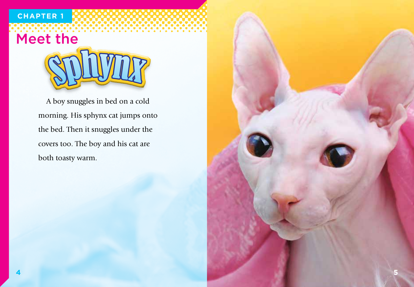### **CHAPTER 1**

## Meet the



A boy snuggles in bed on a cold morning. His sphynx cat jumps onto the bed. Then it snuggles under the covers too. The boy and his cat are both toasty warm.

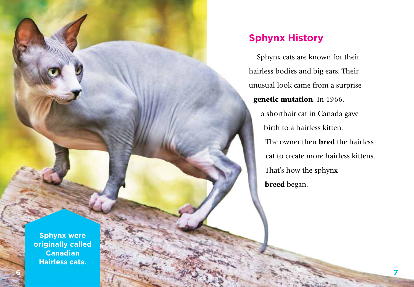

#### **Sphynx History**

Sphynx cats are known for their hairless bodies and big ears. Their unusual look came from a surprise genetic mutation. In 1966, a shorthair cat in Canada gave birth to a hairless kitten. The owner then **bred** the hairless cat to create more hairless kittens. That's how the sphynx breed began.